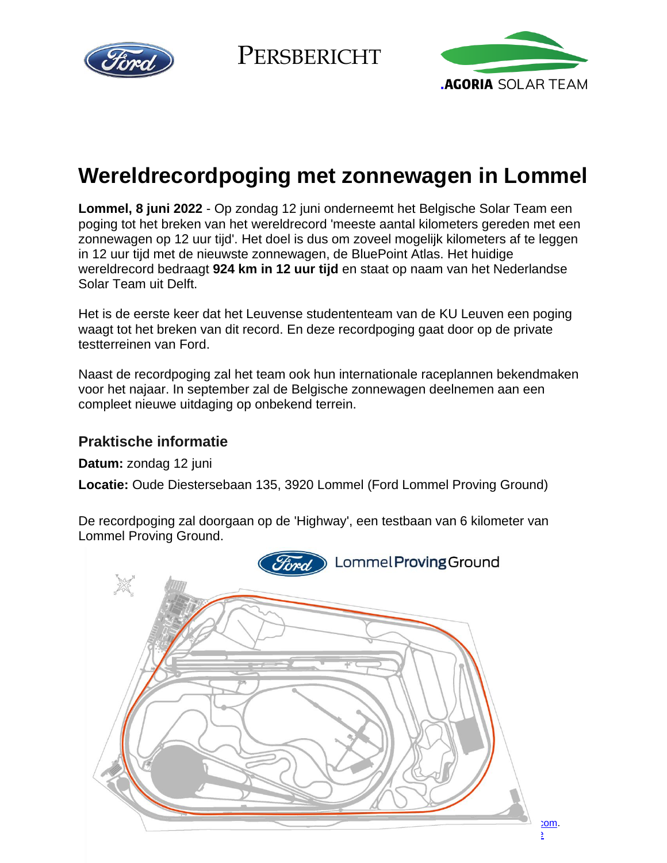

**PERSBERICHT** 



# **Wereldrecordpoging met zonnewagen in Lommel**

**Lommel, 8 juni 2022** - Op zondag 12 juni onderneemt het Belgische Solar Team een poging tot het breken van het wereldrecord 'meeste aantal kilometers gereden met een zonnewagen op 12 uur tijd'. Het doel is dus om zoveel mogelijk kilometers af te leggen in 12 uur tijd met de nieuwste zonnewagen, de BluePoint Atlas. Het huidige wereldrecord bedraagt **924 km in 12 uur tijd** en staat op naam van het Nederlandse Solar Team uit Delft.

Het is de eerste keer dat het Leuvense studententeam van de KU Leuven een poging waagt tot het breken van dit record. En deze recordpoging gaat door op de private testterreinen van Ford.

Naast de recordpoging zal het team ook hun internationale raceplannen bekendmaken voor het najaar. In september zal de Belgische zonnewagen deelnemen aan een compleet nieuwe uitdaging op onbekend terrein.

# **Praktische informatie**

**Datum:** zondag 12 juni

**Locatie:** Oude Diestersebaan 135, 3920 Lommel (Ford Lommel Proving Ground)

De recordpoging zal doorgaan op de 'Highway', een testbaan van 6 kilometer van Lommel Proving Ground.